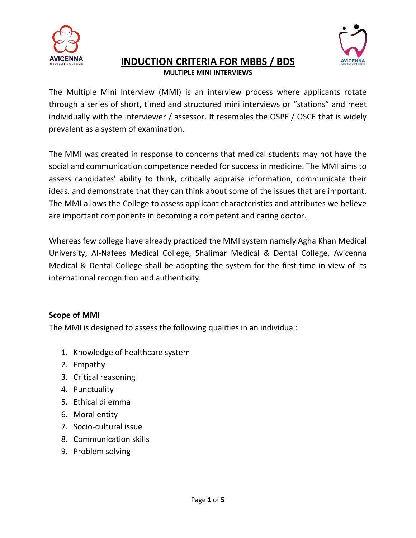

## **INDUCTION CRITERIA FOR MBBS / BDS MULTIPLE MINI INTERVIEWS**



The Multiple Mini Interview (MMI) is an interview process where applicants rotate through a series of short, timed and structured mini interviews or "stations" and meet individually with the interviewer / assessor. It resembles the OSPE / OSCE that is widely prevalent as a system of examination.

The MMI was created in response to concerns that medical students may not have the social and communication competence needed for success in medicine. The MMI aims to assess candidates' ability to think, critically appraise information, communicate their ideas, and demonstrate that they can think about some of the issues that are important. The MMI allows the College to assess applicant characteristics and attributes we believe are important components in becoming a competent and caring doctor.

Whereas few college have already practiced the MMI system namely Agha Khan Medical University, Al-Nafees Medical College, Shalimar Medical & Dental College, Avicenna Medical & Dental College shall be adopting the system for the first time in view of its international recognition and authenticity.

### **Scope of MMI**

The MMI is designed to assess the following qualities in an individual:

- 1. Knowledge of healthcare system
- 2. Empathy
- 3. Critical reasoning
- 4. Punctuality
- 5. Ethical dilemma
- 6. Moral entity
- 7. Socio-cultural issue
- 8. Communication skills
- 9. Problem solving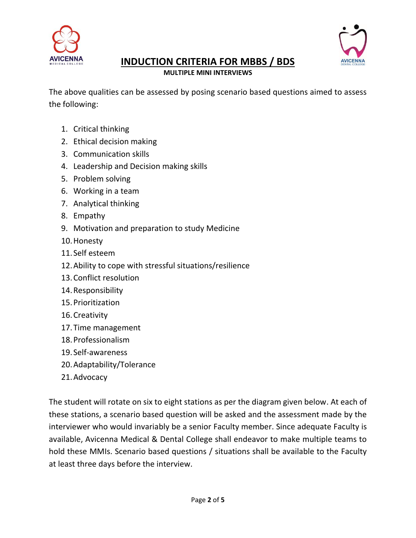



# **INDUCTION CRITERIA FOR MBBS / BDS**

**MULTIPLE MINI INTERVIEWS**

The above qualities can be assessed by posing scenario based questions aimed to assess the following:

- 1. Critical thinking
- 2. Ethical decision making
- 3. Communication skills
- 4. Leadership and Decision making skills
- 5. Problem solving
- 6. Working in a team
- 7. Analytical thinking
- 8. Empathy
- 9. Motivation and preparation to study Medicine
- 10.Honesty
- 11. Self esteem
- 12.Ability to cope with stressful situations/resilience
- 13.Conflict resolution
- 14.Responsibility
- 15.Prioritization
- 16.Creativity
- 17.Time management
- 18.Professionalism
- 19. Self-awareness
- 20.Adaptability/Tolerance
- 21.Advocacy

The student will rotate on six to eight stations as per the diagram given below. At each of these stations, a scenario based question will be asked and the assessment made by the interviewer who would invariably be a senior Faculty member. Since adequate Faculty is available, Avicenna Medical & Dental College shall endeavor to make multiple teams to hold these MMIs. Scenario based questions / situations shall be available to the Faculty at least three days before the interview.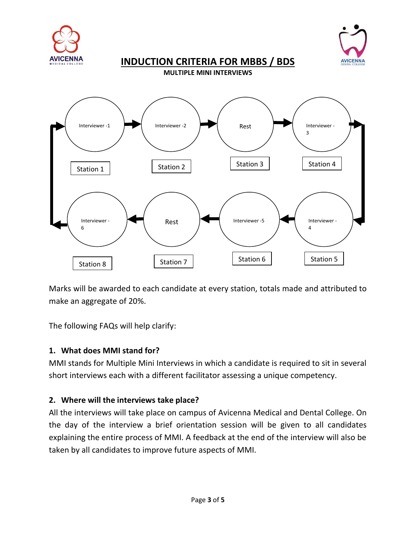



**INDUCTION CRITERIA FOR MBBS / BDS**

**MULTIPLE MINI INTERVIEWS**



Marks will be awarded to each candidate at every station, totals made and attributed to make an aggregate of 20%.

The following FAQs will help clarify:

### **1. What does MMI stand for?**

MMI stands for Multiple Mini Interviews in which a candidate is required to sit in several short interviews each with a different facilitator assessing a unique competency.

### **2. Where will the interviews take place?**

All the interviews will take place on campus of Avicenna Medical and Dental College. On the day of the interview a brief orientation session will be given to all candidates explaining the entire process of MMI. A feedback at the end of the interview will also be taken by all candidates to improve future aspects of MMI.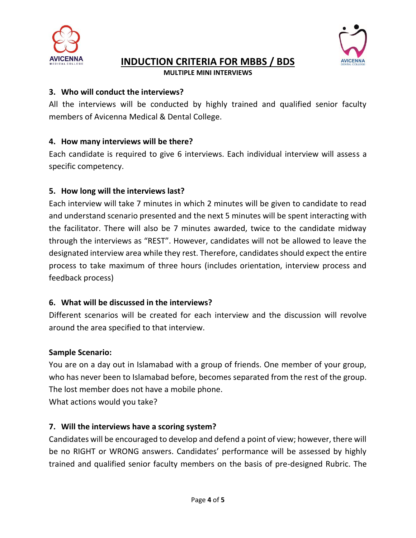

## **INDUCTION CRITERIA FOR MBBS / BDS**



**MULTIPLE MINI INTERVIEWS**

#### **3. Who will conduct the interviews?**

All the interviews will be conducted by highly trained and qualified senior faculty members of Avicenna Medical & Dental College.

## **4. How many interviews will be there?**

Each candidate is required to give 6 interviews. Each individual interview will assess a specific competency.

## **5. How long will the interviews last?**

Each interview will take 7 minutes in which 2 minutes will be given to candidate to read and understand scenario presented and the next 5 minutes will be spent interacting with the facilitator. There will also be 7 minutes awarded, twice to the candidate midway through the interviews as "REST". However, candidates will not be allowed to leave the designated interview area while they rest. Therefore, candidates should expect the entire process to take maximum of three hours (includes orientation, interview process and feedback process)

### **6. What will be discussed in the interviews?**

Different scenarios will be created for each interview and the discussion will revolve around the area specified to that interview.

### **Sample Scenario:**

You are on a day out in Islamabad with a group of friends. One member of your group, who has never been to Islamabad before, becomes separated from the rest of the group. The lost member does not have a mobile phone.

What actions would you take?

### **7. Will the interviews have a scoring system?**

Candidates will be encouraged to develop and defend a point of view; however, there will be no RIGHT or WRONG answers. Candidates' performance will be assessed by highly trained and qualified senior faculty members on the basis of pre-designed Rubric. The